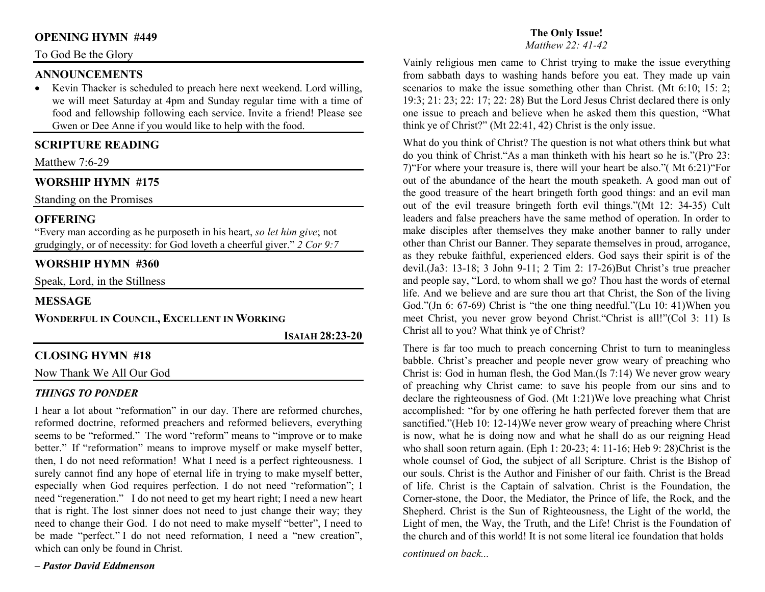# **OPENING HYMN #449**

#### To God Be the Glory

#### **ANNOUNCEMENTS**

 • Kevin Thacker is scheduled to preach here next weekend. Lord willing, we will meet Saturday at 4pm and Sunday regular time with a time of food and fellowship following each service. Invite a friend! Please see Gwen or Dee Anne if you would like to help with the food.

# **SCRIPTURE READING**

Matthew 7:6-29

# **WORSHIP HYMN #175**

Standing on the Promises

#### **OFFERING**

 "Every man according as he purposeth in his heart, *so let him give*; not grudgingly, or of necessity: for God loveth a cheerful giver." *2 Cor 9:7*

# **WORSHIP HYMN #360**

Speak, Lord, in the Stillness

#### **MESSAGE**

**WONDERFUL IN COUNCIL, EXCELLENT IN WORKING**

**ISAIAH 28:23-20** 

#### **CLOSING HYMN #18**

Now Thank We All Our God

#### *THINGS TO PONDER*

 I hear a lot about "reformation" in our day. There are reformed churches, reformed doctrine, reformed preachers and reformed believers, everything seems to be "reformed." The word "reform" means to "improve or to make better." If "reformation" means to improve myself or make myself better, then, I do not need reformation! What I need is a perfect righteousness. I surely cannot find any hope of eternal life in trying to make myself better, especially when God requires perfection. I do not need "reformation"; I need "regeneration." I do not need to get my heart right; I need a new heart that is right. The lost sinner does not need to just change their way; they need to change their God. I do not need to make myself "better", I need to be made "perfect." I do not need reformation, I need a "new creation", which can only be found in Christ.

*– Pastor David Eddmenson*

# **The Only Issue!**

*Matthew 22: 41-42* 

Vainly religious men came to Christ trying to make the issue everything from sabbath days to washing hands before you eat. They made up vain scenarios to make the issue something other than Christ. (Mt 6:10; 15: 2; 19:3; 21: 23; 22: 17; 22: 28) But the Lord Jesus Christ declared there is only one issue to preach and believe when he asked them this question, "What think ye of Christ?" (Mt 22:41, 42) Christ is the only issue.

What do you think of Christ? The question is not what others think but what do you think of Christ."As a man thinketh with his heart so he is."(Pro 23: 7)"For where your treasure is, there will your heart be also."( Mt 6:21)"For out of the abundance of the heart the mouth speaketh. A good man out of the good treasure of the heart bringeth forth good things: and an evil man out of the evil treasure bringeth forth evil things."(Mt 12: 34-35) Cult leaders and false preachers have the same method of operation. In order to make disciples after themselves they make another banner to rally under other than Christ our Banner. They separate themselves in proud, arrogance, as they rebuke faithful, experienced elders. God says their spirit is of the devil.(Ja3: 13-18; 3 John 9-11; 2 Tim 2: 17-26)But Christ's true preacher and people say, "Lord, to whom shall we go? Thou hast the words of eternal life. And we believe and are sure thou art that Christ, the Son of the living God."(Jn 6: 67-69) Christ is "the one thing needful."(Lu 10: 41)When you meet Christ, you never grow beyond Christ."Christ is all!"(Col 3: 11) Is Christ all to you? What think ye of Christ?

There is far too much to preach concerning Christ to turn to meaningless babble. Christ's preacher and people never grow weary of preaching who Christ is: God in human flesh, the God Man.(Is 7:14) We never grow weary of preaching why Christ came: to save his people from our sins and to declare the righteousness of God. (Mt 1:21)We love preaching what Christ accomplished: "for by one offering he hath perfected forever them that are sanctified."(Heb 10: 12-14)We never grow weary of preaching where Christ is now, what he is doing now and what he shall do as our reigning Head who shall soon return again. (Eph 1: 20-23; 4: 11-16; Heb 9: 28)Christ is the whole counsel of God, the subject of all Scripture. Christ is the Bishop of our souls. Christ is the Author and Finisher of our faith. Christ is the Bread of life. Christ is the Captain of salvation. Christ is the Foundation, the Corner-stone, the Door, the Mediator, the Prince of life, the Rock, and the Shepherd. Christ is the Sun of Righteousness, the Light of the world, the Light of men, the Way, the Truth, and the Life! Christ is the Foundation of the church and of this world! It is not some literal ice foundation that holds

*continued on back...*